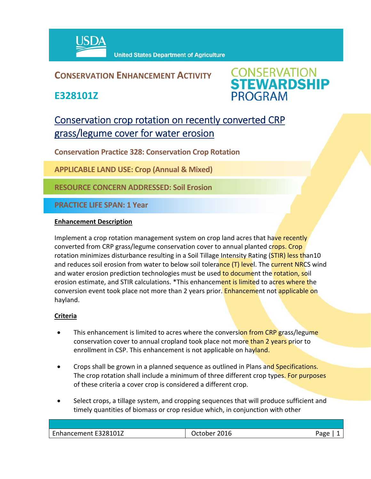

### **CONSERVATION ENHANCEMENT ACTIVITY**

**E328101Z**



## Conservation crop rotation on recently converted CRP grass/legume cover for water erosion

**Conservation Practice 328: Conservation Crop Rotation** 

**APPLICABLE LAND USE: Crop (Annual & Mixed)** 

**RESOURCE CONCERN ADDRESSED: Soil Erosion**

**PRACTICE LIFE SPAN: 1 Year**

#### **Enhancement Description**

Implement a crop rotation management system on crop land acres that have recently converted from CRP grass/legume conservation cover to annual planted crops. Crop rotation minimizes disturbance resulting in a Soil Tillage Intensity Rating (STIR) less than10 and reduces soil erosion from water to below soil tolerance (T) level. The current NRCS wind and water erosion prediction technologies must be used to document the rotation, soil erosion estimate, and STIR calculations. \*This enhancement is limited to acres where the conversion event took place not more than 2 years prior. Enhancement not applicable on hayland.

#### **Criteria**

- This enhancement is limited to acres where the conversion from CRP grass/legume conservation cover to annual cropland took place not more than 2 years prior to enrollment in CSP. This enhancement is not applicable on hayland.
- Crops shall be grown in a planned sequence as outlined in Plans and Specifications. The crop rotation shall include a minimum of three different crop types. For purposes of these criteria a cover crop is considered a different crop.
- Select crops, a tillage system, and cropping sequences that will produce sufficient and timely quantities of biomass or crop residue which, in conjunction with other

| 28101Z<br>$\overline{\phantom{0}}$<br>Enhancement E3281 | _ulb_ | ≙סבּי |
|---------------------------------------------------------|-------|-------|
|                                                         |       |       |